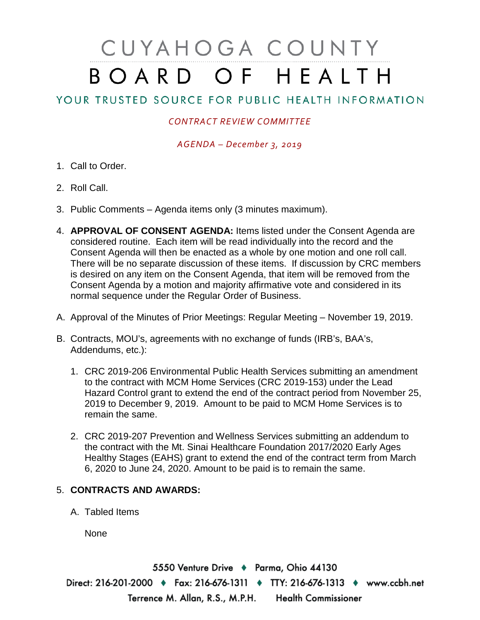## CUYAHOGA COUNTY BOARD OF HEALTH

## YOUR TRUSTED SOURCE FOR PUBLIC HEALTH INFORMATION

## *CONTRACT REVIEW COMMITTEE*

*AGENDA – December 3, 2019*

- 1. Call to Order.
- 2. Roll Call.
- 3. Public Comments Agenda items only (3 minutes maximum).
- 4. **APPROVAL OF CONSENT AGENDA:** Items listed under the Consent Agenda are considered routine. Each item will be read individually into the record and the Consent Agenda will then be enacted as a whole by one motion and one roll call. There will be no separate discussion of these items. If discussion by CRC members is desired on any item on the Consent Agenda, that item will be removed from the Consent Agenda by a motion and majority affirmative vote and considered in its normal sequence under the Regular Order of Business.
- A. Approval of the Minutes of Prior Meetings: Regular Meeting November 19, 2019.
- B. Contracts, MOU's, agreements with no exchange of funds (IRB's, BAA's, Addendums, etc.):
	- 1. CRC 2019-206 Environmental Public Health Services submitting an amendment to the contract with MCM Home Services (CRC 2019-153) under the Lead Hazard Control grant to extend the end of the contract period from November 25, 2019 to December 9, 2019. Amount to be paid to MCM Home Services is to remain the same.
	- 2. CRC 2019-207 Prevention and Wellness Services submitting an addendum to the contract with the Mt. Sinai Healthcare Foundation 2017/2020 Early Ages Healthy Stages (EAHS) grant to extend the end of the contract term from March 6, 2020 to June 24, 2020. Amount to be paid is to remain the same.

## 5. **CONTRACTS AND AWARDS:**

A. Tabled Items

None

5550 Venture Drive + Parma, Ohio 44130 Direct: 216-201-2000 • Fax: 216-676-1311 • TTY: 216-676-1313 • www.ccbh.net Terrence M. Allan, R.S., M.P.H. Health Commissioner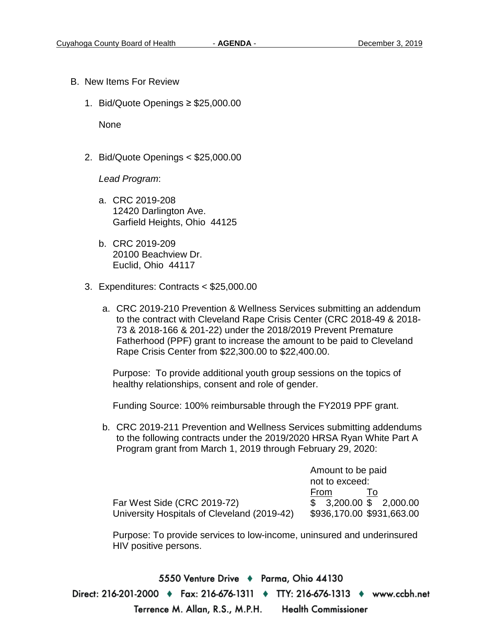- B. New Items For Review
	- 1. Bid/Quote Openings ≥ \$25,000.00

None

2. Bid/Quote Openings < \$25,000.00

*Lead Program*:

- a. CRC 2019-208 12420 Darlington Ave. Garfield Heights, Ohio 44125
- b. CRC 2019-209 20100 Beachview Dr. Euclid, Ohio 44117
- 3. Expenditures: Contracts < \$25,000.00
	- a. CRC 2019-210 Prevention & Wellness Services submitting an addendum to the contract with Cleveland Rape Crisis Center (CRC 2018-49 & 2018- 73 & 2018-166 & 201-22) under the 2018/2019 Prevent Premature Fatherhood (PPF) grant to increase the amount to be paid to Cleveland Rape Crisis Center from \$22,300.00 to \$22,400.00.

Purpose: To provide additional youth group sessions on the topics of healthy relationships, consent and role of gender.

Funding Source: 100% reimbursable through the FY2019 PPF grant.

b. CRC 2019-211 Prevention and Wellness Services submitting addendums to the following contracts under the 2019/2020 HRSA Ryan White Part A Program grant from March 1, 2019 through February 29, 2020:

|                                             | Amount to be paid         |
|---------------------------------------------|---------------------------|
|                                             | not to exceed:            |
|                                             | From                      |
| Far West Side (CRC 2019-72)                 | $$3,200.00$ \$ 2,000.00   |
| University Hospitals of Cleveland (2019-42) | \$936,170.00 \$931,663.00 |

Purpose: To provide services to low-income, uninsured and underinsured HIV positive persons.

5550 Venture Drive ♦ Parma, Ohio 44130 Direct: 216-201-2000 • Fax: 216-676-1311 • TTY: 216-676-1313 • www.ccbh.net Terrence M. Allan, R.S., M.P.H. **Health Commissioner**